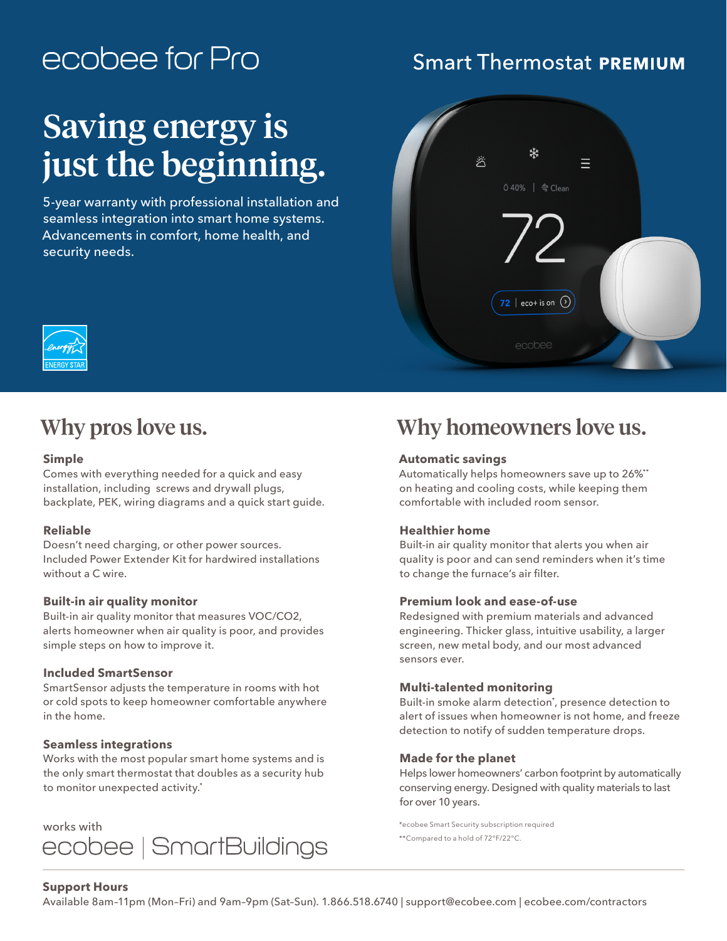# ecobee for Pro

# Saving energy is just the beginning.

5-year warranty with professional installation and seamless integration into smart home systems. Advancements in comfort, home health, and security needs.

### **Smart Thermostat PREMIUM**





#### **Simple**

Comes with everything needed for a quick and easy installation, including screws and drywall plugs, backplate, PEK, wiring diagrams and a quick start guide.

### **Reliable**

Doesn't need charging, or other power sources. Included Power Extender Kit for hardwired installations without a C wire.

#### **Built-in air quality monitor**

Built-in air quality monitor that measures VOC/CO2, alerts homeowner when air quality is poor, and provides simple steps on how to improve it.

### **Included SmartSensor**

SmartSensor adjusts the temperature in rooms with hot or cold spots to keep homeowner comfortable anywhere in the home.

### **Seamless integrations**

Works with the most popular smart home systems and is the only smart thermostat that doubles as a security hub to monitor unexpected activity.<sup>\*</sup>



## Why pros love us. Why homeowners love us.

#### **Automatic savings**

Automatically helps homeowners save up to 26%\*\* on heating and cooling costs, while keeping them comfortable with included room sensor.

### **Healthier home**

Built-in air quality monitor that alerts you when air quality is poor and can send reminders when it's time to change the furnace's air filter.

#### **Premium look and ease-of-use**

Redesigned with premium materials and advanced engineering. Thicker glass, intuitive usability, a larger screen, new metal body, and our most advanced sensors ever.

#### **Multi-talented monitoring**

Built-in smoke alarm detection<sup>\*</sup>, presence detection to alert of issues when homeowner is not home, and freeze detection to notify of sudden temperature drops.

### **Made for the planet**

Helps lower homeowners' carbon footprint by automatically conserving energy. Designed with quality materials to last for over 10 years.

\*ecobee Smart Security subscription required \*\*Compared to a hold of 72°F/22°C.

### **Support Hours**

Available 8am–11pm (Mon–Fri) and 9am–9pm (Sat–Sun). 1.866.518.6740 | support@ecobee.com | ecobee.com/contractors